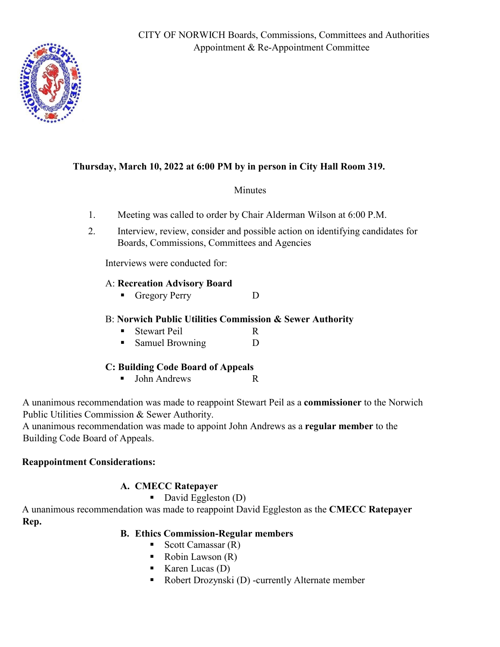

## **Thursday, March 10, 2022 at 6:00 PM by in person in City Hall Room 319.**

#### Minutes

- 1. Meeting was called to order by Chair Alderman Wilson at 6:00 P.M.
- 2. Interview, review, consider and possible action on identifying candidates for Boards, Commissions, Committees and Agencies

Interviews were conducted for:

#### A: **Recreation Advisory Board**

Gregory Perry D

#### B: **Norwich Public Utilities Commission & Sewer Authority**

- Stewart Peil R
- Samuel Browning D

#### **C: Building Code Board of Appeals**

■ John Andrews R

A unanimous recommendation was made to reappoint Stewart Peil as a **commissioner** to the Norwich Public Utilities Commission & Sewer Authority.

A unanimous recommendation was made to appoint John Andrews as a **regular member** to the Building Code Board of Appeals.

#### **Reappointment Considerations:**

### **A. CMECC Ratepayer**

#### $\blacksquare$  David Eggleston (D)

A unanimous recommendation was made to reappoint David Eggleston as the **CMECC Ratepayer Rep.**

### **B. Ethics Commission-Regular members**

- Scott Camassar  $(R)$
- $\blacksquare$  Robin Lawson  $(R)$
- Karen Lucas  $(D)$
- Robert Drozynski (D) -currently Alternate member